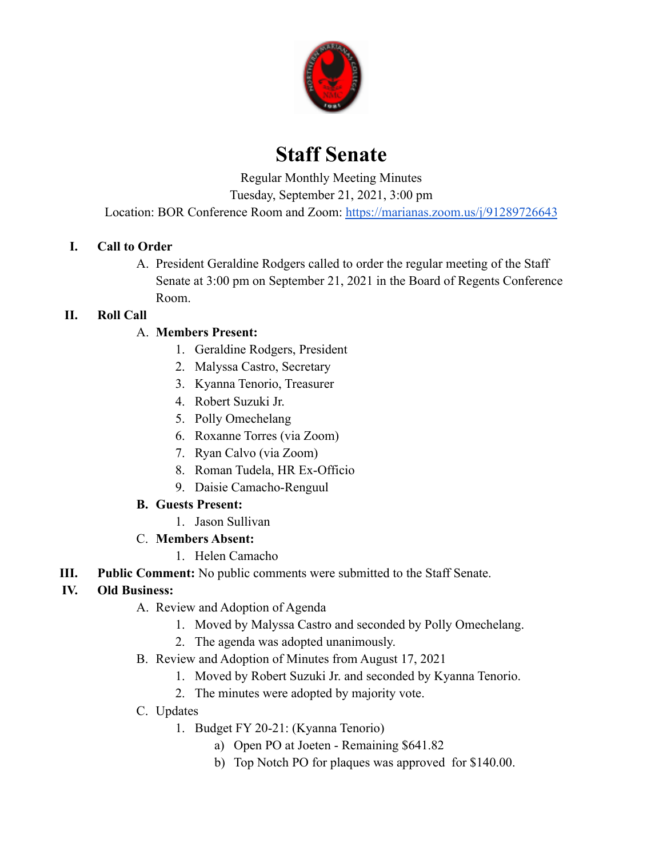

# **Staff Senate**

Regular Monthly Meeting Minutes

Tuesday, September 21, 2021, 3:00 pm

Location: BOR Conference Room and Zoom: <https://marianas.zoom.us/j/91289726643>

## **I. Call to Order**

A. President Geraldine Rodgers called to order the regular meeting of the Staff Senate at 3:00 pm on September 21, 2021 in the Board of Regents Conference Room.

## **II. Roll Call**

## A. **Members Present:**

- 1. Geraldine Rodgers, President
- 2. Malyssa Castro, Secretary
- 3. Kyanna Tenorio, Treasurer
- 4. Robert Suzuki Jr.
- 5. Polly Omechelang
- 6. Roxanne Torres (via Zoom)
- 7. Ryan Calvo (via Zoom)
- 8. Roman Tudela, HR Ex-Officio
- 9. Daisie Camacho-Renguul

## **B. Guests Present:**

1. Jason Sullivan

## C. **Members Absent:**

- 1. Helen Camacho
- **III. Public Comment:** No public comments were submitted to the Staff Senate.

## **IV. Old Business:**

- A. Review and Adoption of Agenda
	- 1. Moved by Malyssa Castro and seconded by Polly Omechelang.
	- 2. The agenda was adopted unanimously.
- B. Review and Adoption of Minutes from August 17, 2021
	- 1. Moved by Robert Suzuki Jr. and seconded by Kyanna Tenorio.
	- 2. The minutes were adopted by majority vote.
- C. Updates
	- 1. Budget FY 20-21: (Kyanna Tenorio)
		- a) Open PO at Joeten Remaining \$641.82
		- b) Top Notch PO for plaques was approved for \$140.00.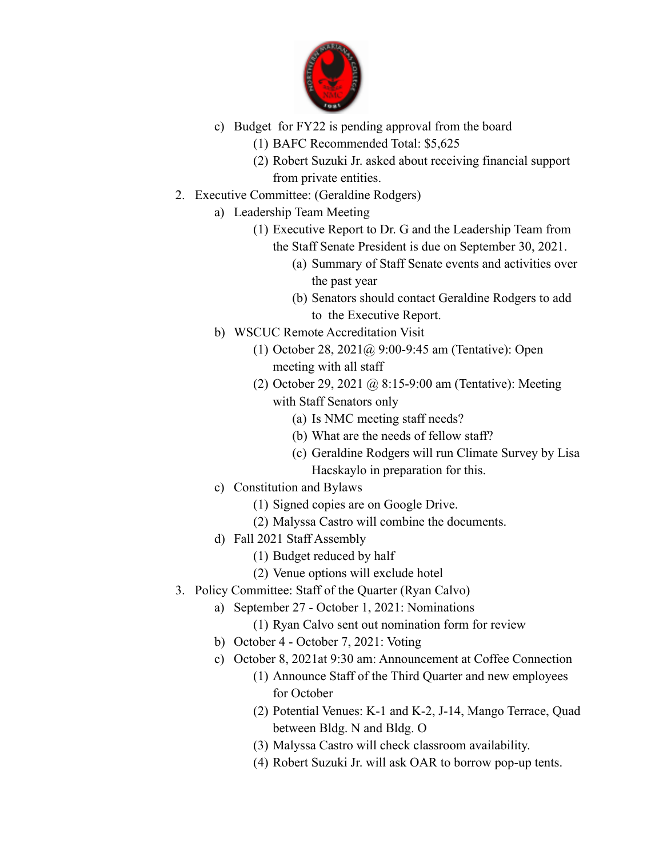

- c) Budget for FY22 is pending approval from the board
	- (1) BAFC Recommended Total: \$5,625
	- (2) Robert Suzuki Jr. asked about receiving financial support from private entities.
- 2. Executive Committee: (Geraldine Rodgers)
	- a) Leadership Team Meeting
		- (1) Executive Report to Dr. G and the Leadership Team from the Staff Senate President is due on September 30, 2021.
			- (a) Summary of Staff Senate events and activities over the past year
			- (b) Senators should contact Geraldine Rodgers to add to the Executive Report.
	- b) WSCUC Remote Accreditation Visit
		- (1) October 28, 2021@ 9:00-9:45 am (Tentative): Open meeting with all staff
		- (2) October 29, 2021 @ 8:15-9:00 am (Tentative): Meeting with Staff Senators only
			- (a) Is NMC meeting staff needs?
			- (b) What are the needs of fellow staff?
			- (c) Geraldine Rodgers will run Climate Survey by Lisa Hacskaylo in preparation for this.
	- c) Constitution and Bylaws
		- (1) Signed copies are on Google Drive.
		- (2) Malyssa Castro will combine the documents.
	- d) Fall 2021 Staff Assembly
		- (1) Budget reduced by half
		- (2) Venue options will exclude hotel
- 3. Policy Committee: Staff of the Quarter (Ryan Calvo)
	- a) September 27 October 1, 2021: Nominations
		- (1) Ryan Calvo sent out nomination form for review
	- b) October 4 October 7, 2021: Voting
	- c) October 8, 2021at 9:30 am: Announcement at Coffee Connection
		- (1) Announce Staff of the Third Quarter and new employees for October
		- (2) Potential Venues: K-1 and K-2, J-14, Mango Terrace, Quad between Bldg. N and Bldg. O
		- (3) Malyssa Castro will check classroom availability.
		- (4) Robert Suzuki Jr. will ask OAR to borrow pop-up tents.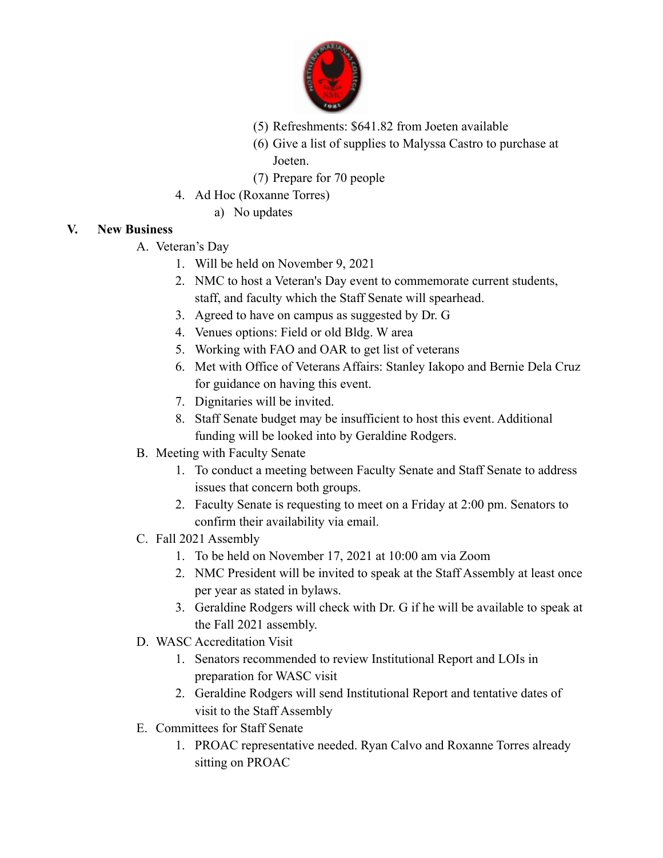

- (5) Refreshments: \$641.82 from Joeten available
- (6) Give a list of supplies to Malyssa Castro to purchase at Joeten.
- (7) Prepare for 70 people
- 4. Ad Hoc (Roxanne Torres)
	- a) No updates

## **V. New Business**

- A. Veteran's Day
	- 1. Will be held on November 9, 2021
	- 2. NMC to host a Veteran's Day event to commemorate current students, staff, and faculty which the Staff Senate will spearhead.
	- 3. Agreed to have on campus as suggested by Dr. G
	- 4. Venues options: Field or old Bldg. W area
	- 5. Working with FAO and OAR to get list of veterans
	- 6. Met with Office of Veterans Affairs: Stanley Iakopo and Bernie Dela Cruz for guidance on having this event.
	- 7. Dignitaries will be invited.
	- 8. Staff Senate budget may be insufficient to host this event. Additional funding will be looked into by Geraldine Rodgers.
- B. Meeting with Faculty Senate
	- 1. To conduct a meeting between Faculty Senate and Staff Senate to address issues that concern both groups.
	- 2. Faculty Senate is requesting to meet on a Friday at 2:00 pm. Senators to confirm their availability via email.
- C. Fall 2021 Assembly
	- 1. To be held on November 17, 2021 at 10:00 am via Zoom
	- 2. NMC President will be invited to speak at the Staff Assembly at least once per year as stated in bylaws.
	- 3. Geraldine Rodgers will check with Dr. G if he will be available to speak at the Fall 2021 assembly.
- D. WASC Accreditation Visit
	- 1. Senators recommended to review Institutional Report and LOIs in preparation for WASC visit
	- 2. Geraldine Rodgers will send Institutional Report and tentative dates of visit to the Staff Assembly
- E. Committees for Staff Senate
	- 1. PROAC representative needed. Ryan Calvo and Roxanne Torres already sitting on PROAC